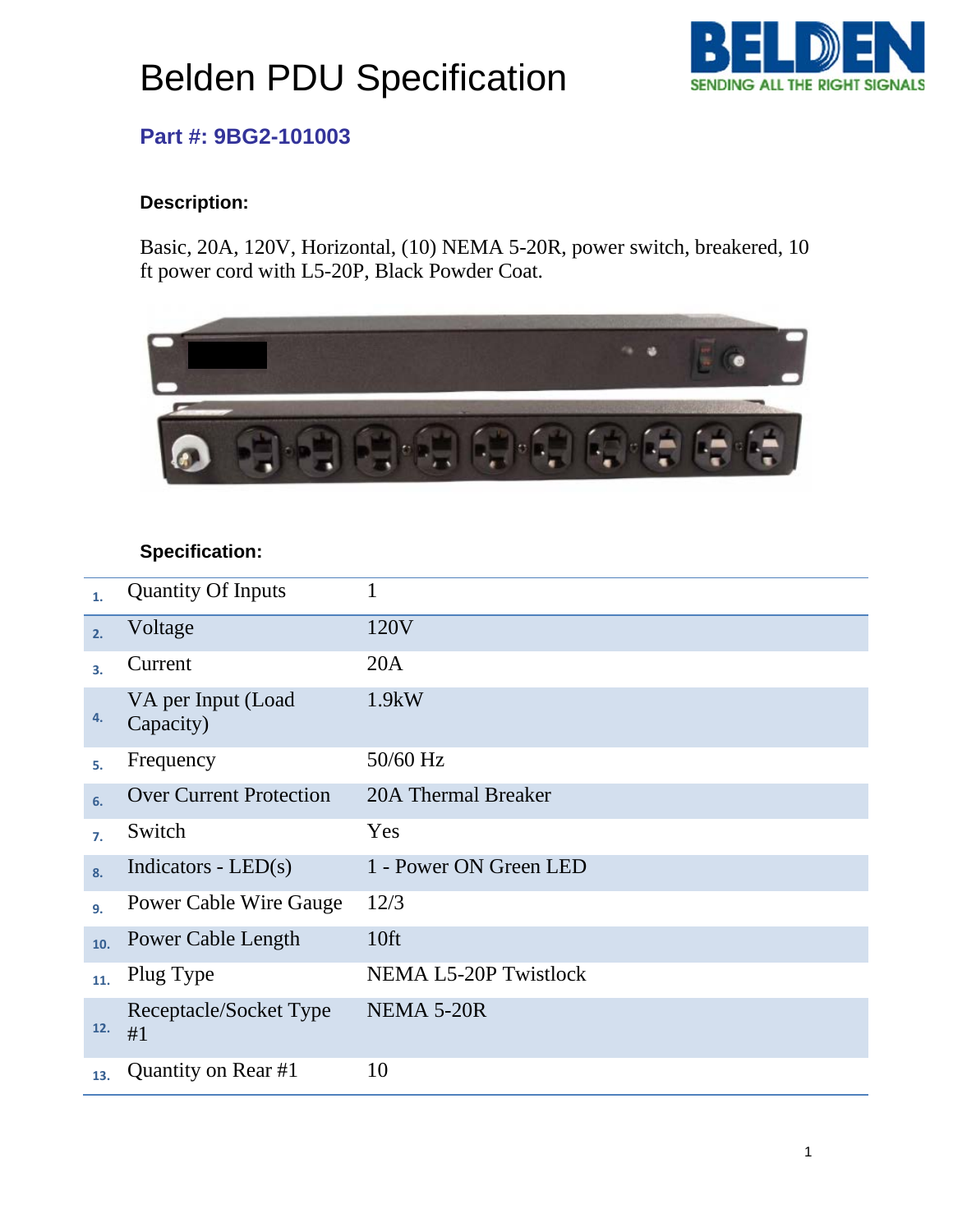# Belden PDU Specification



## **Part #: 9BG2-101003**

### **Description:**

Basic, 20A, 120V, Horizontal, (10) NEMA 5-20R, power switch, breakered, 10 ft power cord with L5-20P, Black Powder Coat.



#### **Specification:**

| 1.  | <b>Quantity Of Inputs</b>       | 1                            |
|-----|---------------------------------|------------------------------|
| 2.  | Voltage                         | 120V                         |
| 3.  | Current                         | 20A                          |
| 4.  | VA per Input (Load<br>Capacity) | 1.9kW                        |
| 5.  | Frequency                       | 50/60 Hz                     |
| 6.  | <b>Over Current Protection</b>  | 20A Thermal Breaker          |
| 7.  | Switch                          | Yes                          |
| 8.  | Indicators - $LED(s)$           | 1 - Power ON Green LED       |
| 9.  | <b>Power Cable Wire Gauge</b>   | 12/3                         |
| 10. | Power Cable Length              | 10 <sup>ft</sup>             |
| 11. | Plug Type                       | <b>NEMA L5-20P Twistlock</b> |
| 12. | Receptacle/Socket Type<br>#1    | NEMA 5-20R                   |
| 13. | Quantity on Rear #1             | 10                           |